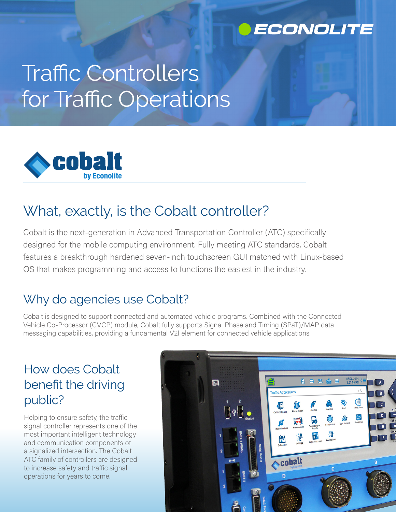

# Traffic Controllers for Traffic Operations



# What, exactly, is the Cobalt controller?

Cobalt is the next-generation in Advanced Transportation Controller (ATC) specifically designed for the mobile computing environment. Fully meeting ATC standards, Cobalt features a breakthrough hardened seven-inch touchscreen GUI matched with Linux-based OS that makes programming and access to functions the easiest in the industry.

### Why do agencies use Cobalt?

Cobalt is designed to support connected and automated vehicle programs. Combined with the Connected Vehicle Co-Processor (CVCP) module, Cobalt fully supports Signal Phase and Timing (SPaT)/MAP data messaging capabilities, providing a fundamental V2I element for connected vehicle applications.

## How does Cobalt benefit the driving public?

Helping to ensure safety, the traffic signal controller represents one of the most important intelligent technology and communication components of a signalized intersection. The Cobalt ATC family of controllers are designed to increase safety and traffic signal operations for years to come.

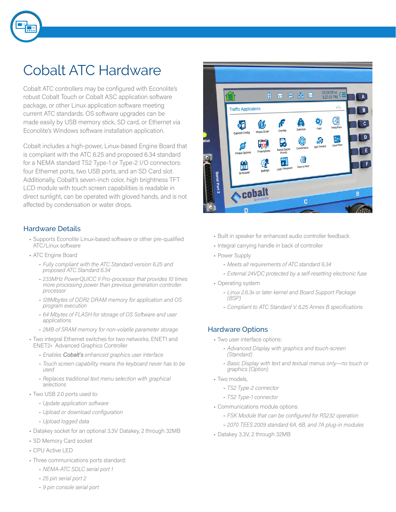

# Cobalt ATC Hardware

Cobalt ATC controllers may be configured with Econolite's robust Cobalt Touch or Cobalt ASC application software package, or other Linux application software meeting current ATC standards. OS software upgrades can be made easily by USB memory stick, SD card, or Ethernet via Econolite's Windows software installation application.

Cobalt includes a high-power, Linux-based Engine Board that is compliant with the ATC 6.25 and proposed 6.34 standard for a NEMA standard TS2 Type-1 or Type-2 I/O connectors: four Ethernet ports, two USB ports, and an SD Card slot. Additionally, Cobalt's seven-inch color, high brightness TFT LCD module with touch screen capabilities is readable in direct sunlight, can be operated with gloved hands, and is not affected by condensation or water drops.

#### Hardware Details

- Supports Econolite Linux-based software or other pre-qualified ATC/Linux software
- ATC Engine Board
	- *Fully compliant with the ATC Standard version 6.25 and proposed ATC Standard 6.34*
	- *233MHz PowerQUICC II Pro-processor that provides 10 times more processing power than previous generation controller processor*
	- *128Mbytes of DDR2 DRAM memory for application and OS program execution*
	- *64 Mbytes of FLASH for storage of OS Software and user applications*
	- *2MB of SRAM memory for non-volatile parameter storage*
- Two integral Ethernet switches for two networks, ENET1 and ENET2• Advanced Graphics Controller
	- *Enables Cobalt's enhanced graphics user interface*
	- *Touch screen capability means the keyboard never has to be used*
	- *Replaces traditional text menu selection with graphical selections*
- Two USB 2.0 ports used to:
	- *Update application software*
	- *Upload or download configuration*
	- *Upload logged data*
- Datakey socket for an optional 3.3V Datakey, 2 through 32MB
- SD Memory Card socket
- CPU Active LED
- Three communications ports standard:
	- *NEMA-ATC SDLC serial port 1*
	- *25 pin serial port 2*
	- *9 pin console serial port*



- Built in speaker for enhanced audio controller feedback
- Integral carrying handle in back of controller
- Power Supply
	- *Meets all requirements of ATC standard 6.34*
	- *External 24VDC protected by a self-resetting electronic fuse*
- Operating system
	- *Linux 2.6.3x or later kernel and Board Support Package (BSP)*
	- *Compliant to ATC Standard V. 6.25 Annex B specifications*

#### Hardware Options

- Two user interface options:
	- *Advanced Display with graphics and touch-screen (Standard)*
	- *Basic Display with text and textual menus only—no touch or graphics (Option)*
- Two models,
	- *TS2 Type-2 connector*
	- *TS2 Type-1 connector*
- Communications module options:
	- *FSK Module that can be configured for RS232 operation*
	- *2070 TEES 2009 standard 6A, 6B, and 7A plug-in modules*
- Datakey 3.3V, 2 through 32MB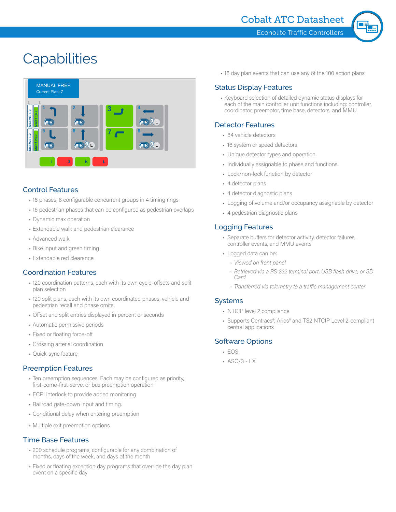

# **Capabilities**



#### Control Features

- 16 phases, 8 configurable concurrent groups in 4 timing rings
- 16 pedestrian phases that can be configured as pedestrian overlaps
- Dynamic max operation
- Extendable walk and pedestrian clearance
- Advanced walk
- Bike input and green timing
- Extendable red clearance

#### Coordination Features

- 120 coordination patterns, each with its own cycle, offsets and split plan selection
- 120 split plans, each with its own coordinated phases, vehicle and pedestrian recall and phase omits
- Offset and split entries displayed in percent or seconds
- Automatic permissive periods
- Fixed or floating force-off
- Crossing arterial coordination
- Quick-sync feature

#### Preemption Features

- Ten preemption sequences. Each may be configured as priority, first-come-first-serve, or bus preemption operation
- ECPI interlock to provide added monitoring
- Railroad gate-down input and timing.
- Conditional delay when entering preemption
- Multiple exit preemption options

#### Time Base Features

- 200 schedule programs, configurable for any combination of months, days of the week, and days of the month
- Fixed or floating exception day programs that override the day plan event on a specific day

• 16 day plan events that can use any of the 100 action plans

#### Status Display Features

• Keyboard selection of detailed dynamic status displays for each of the main controller unit functions including: controller, coordinator, preemptor, time base, detectors, and MMU

#### Detector Features

- 64 vehicle detectors
- 16 system or speed detectors
- Unique detector types and operation
- Individually assignable to phase and functions
- Lock/non-lock function by detector
- 4 detector plans
- 4 detector diagnostic plans
- Logging of volume and/or occupancy assignable by detector
- 4 pedestrian diagnostic plans

#### Logging Features

- Separate buffers for detector activity, detector failures, controller events, and MMU events
- Logged data can be:
	- *Viewed on front panel*
	- *Retrieved via a RS-232 terminal port, USB flash drive, or SD Card*
	- *Transferred via telemetry to a traffic management center*

#### Systems

- NTCIP level 2 compliance
- Supports Centracs®, Aries® and TS2 NTCIP Level 2-compliant central applications

#### Software Options

- EOS
- ASC/3 LX